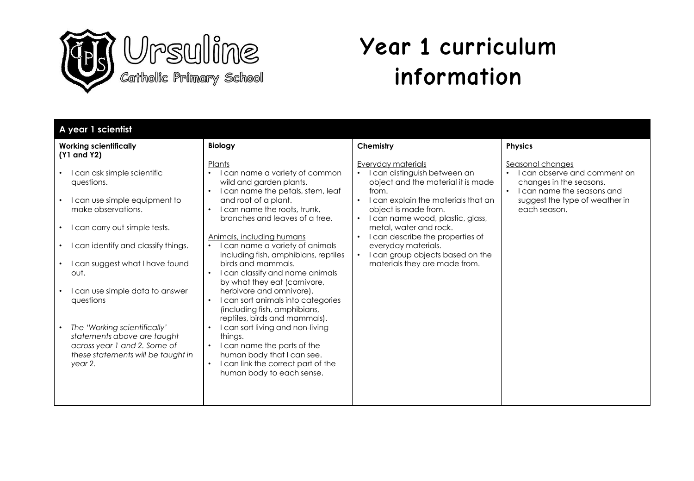

## **Year 1 curriculum information**

| A year 1 scientist                                                                                                                                                                                                                                                                                                                                                                                                                                                           |                                                                                                                                                                                                                                                                                                                                                                                                                                                                                                                                                                                                                                                                                                                                                                           |                                                                                                                                                                                                                                                                                                                                                                                                                                 |                                                                                                                                                                                     |
|------------------------------------------------------------------------------------------------------------------------------------------------------------------------------------------------------------------------------------------------------------------------------------------------------------------------------------------------------------------------------------------------------------------------------------------------------------------------------|---------------------------------------------------------------------------------------------------------------------------------------------------------------------------------------------------------------------------------------------------------------------------------------------------------------------------------------------------------------------------------------------------------------------------------------------------------------------------------------------------------------------------------------------------------------------------------------------------------------------------------------------------------------------------------------------------------------------------------------------------------------------------|---------------------------------------------------------------------------------------------------------------------------------------------------------------------------------------------------------------------------------------------------------------------------------------------------------------------------------------------------------------------------------------------------------------------------------|-------------------------------------------------------------------------------------------------------------------------------------------------------------------------------------|
| <b>Working scientifically</b><br>(Y1 and Y2)                                                                                                                                                                                                                                                                                                                                                                                                                                 | <b>Biology</b>                                                                                                                                                                                                                                                                                                                                                                                                                                                                                                                                                                                                                                                                                                                                                            | Chemistry                                                                                                                                                                                                                                                                                                                                                                                                                       | <b>Physics</b>                                                                                                                                                                      |
| can ask simple scientific<br>$\bullet$<br>questions.<br>can use simple equipment to<br>make observations.<br>l can carry out simple tests.<br>$\bullet$<br>can identify and classify things.<br>$\bullet$<br>can suggest what I have found<br>$\bullet$<br>out.<br>I can use simple data to answer<br>questions<br>The 'Working scientifically'<br>$\bullet$<br>statements above are taught<br>across year 1 and 2. Some of<br>these statements will be taught in<br>year 2. | Plants<br>I can name a variety of common<br>$\bullet$<br>wild and garden plants.<br>I can name the petals, stem, leaf<br>$\bullet$<br>and root of a plant.<br>I can name the roots, trunk,<br>branches and leaves of a tree.<br>Animals, including humans<br>I can name a variety of animals<br>including fish, amphibians, reptiles<br>birds and mammals.<br>I can classify and name animals<br>$\bullet$<br>by what they eat (carnivore,<br>herbivore and omnivore).<br>I can sort animals into categories<br>(including fish, amphibians,<br>reptiles, birds and mammals).<br>I can sort living and non-living<br>$\bullet$<br>things.<br>I can name the parts of the<br>human body that I can see.<br>I can link the correct part of the<br>human body to each sense. | Everyday materials<br>I can distinguish between an<br>$\bullet$<br>object and the material it is made<br>from.<br>I can explain the materials that an<br>$\bullet$<br>object is made from.<br>I can name wood, plastic, glass,<br>$\bullet$<br>metal, water and rock.<br>I can describe the properties of<br>$\bullet$<br>everyday materials.<br>I can group objects based on the<br>$\bullet$<br>materials they are made from. | Seasonal changes<br>can observe and comment on<br>$\bullet$<br>changes in the seasons.<br>I can name the seasons and<br>$\bullet$<br>suggest the type of weather in<br>each season. |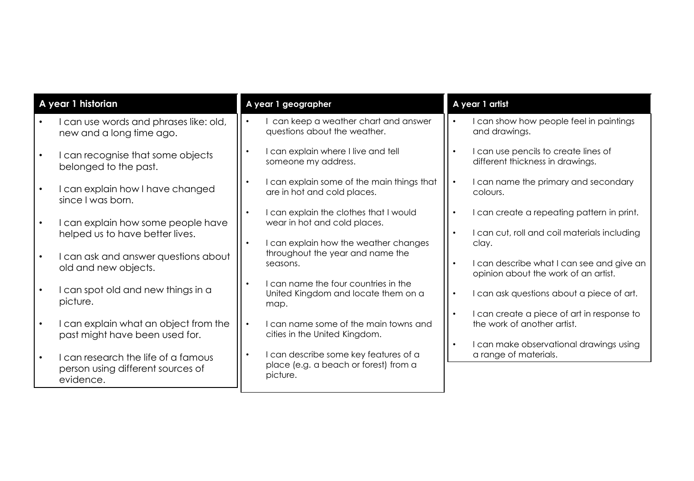| A year 1 historian                                                                    | A year 1 geographer                                                                        | A year 1 artist                                                                            |
|---------------------------------------------------------------------------------------|--------------------------------------------------------------------------------------------|--------------------------------------------------------------------------------------------|
| I can use words and phrases like: old,                                                | can keep a weather chart and answer                                                        | I can show how people feel in paintings                                                    |
| new and a long time ago.                                                              | questions about the weather.                                                               | and drawings.                                                                              |
| I can recognise that some objects                                                     | I can explain where I live and tell                                                        | I can use pencils to create lines of                                                       |
| belonged to the past.                                                                 | someone my address.                                                                        | different thickness in drawings.                                                           |
| I can explain how I have changed                                                      | I can explain some of the main things that                                                 | I can name the primary and secondary                                                       |
| since I was born.                                                                     | are in hot and cold places.                                                                | colours.                                                                                   |
| I can explain how some people have                                                    | I can explain the clothes that I would<br>wear in hot and cold places.                     | I can create a repeating pattern in print.<br>I can cut, roll and coil materials including |
| helped us to have better lives.                                                       | I can explain how the weather changes                                                      | clay.                                                                                      |
| I can ask and answer questions about                                                  | throughout the year and name the                                                           | I can describe what I can see and give an                                                  |
| old and new objects.                                                                  | seasons.                                                                                   | opinion about the work of an artist.                                                       |
| I can spot old and new things in a<br>picture.                                        | I can name the four countries in the<br>United Kingdom and locate them on a<br>map.        | I can ask questions about a piece of art.                                                  |
| I can explain what an object from the                                                 | I can name some of the main towns and                                                      | I can create a piece of art in response to                                                 |
| past might have been used for.                                                        | cities in the United Kingdom.                                                              | the work of another artist.                                                                |
| I can research the life of a famous<br>person using different sources of<br>evidence. | I can describe some key features of a<br>place (e.g. a beach or forest) from a<br>picture. |                                                                                            |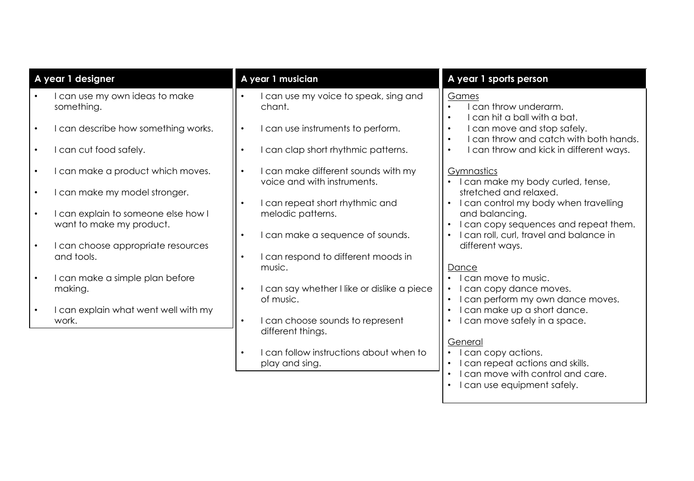| A year 1 designer                                               | A year 1 musician                                                      | A year 1 sports person                                                                             |
|-----------------------------------------------------------------|------------------------------------------------------------------------|----------------------------------------------------------------------------------------------------|
| I can use my own ideas to make<br>something.                    | I can use my voice to speak, sing and<br>chant.                        | Games<br>can throw underarm.<br>$\bullet$<br>can hit a ball with a bat.                            |
| I can describe how something works.                             | I can use instruments to perform.<br>$\bullet$                         | I can move and stop safely.<br>can throw and catch with both hands.                                |
| I can cut food safely.                                          | I can clap short rhythmic patterns.                                    | I can throw and kick in different ways.                                                            |
| I can make a product which moves.                               | I can make different sounds with my<br>voice and with instruments.     | Gymnastics<br>I can make my body curled, tense,                                                    |
| I can make my model stronger.                                   | I can repeat short rhythmic and                                        | stretched and relaxed.<br>I can control my body when travelling                                    |
| I can explain to someone else how I<br>want to make my product. | melodic patterns.                                                      | and balancing.<br>I can copy sequences and repeat them.                                            |
| I can choose appropriate resources                              | I can make a sequence of sounds.                                       | I can roll, curl, travel and balance in<br>different ways.                                         |
| and tools.                                                      | I can respond to different moods in<br>music.                          | Dance                                                                                              |
| I can make a simple plan before<br>making.                      | I can say whether I like or dislike a piece                            | I can move to music.<br>I can copy dance moves.                                                    |
| I can explain what went well with my<br>work.                   | of music.<br>I can choose sounds to represent                          | I can perform my own dance moves.<br>I can make up a short dance.<br>I can move safely in a space. |
|                                                                 | different things.                                                      |                                                                                                    |
|                                                                 | I can follow instructions about when to<br>$\bullet$<br>play and sing. | General<br>I can copy actions.<br>I can repeat actions and skills.                                 |
|                                                                 |                                                                        | can move with control and care.<br>I can use equipment safely.                                     |